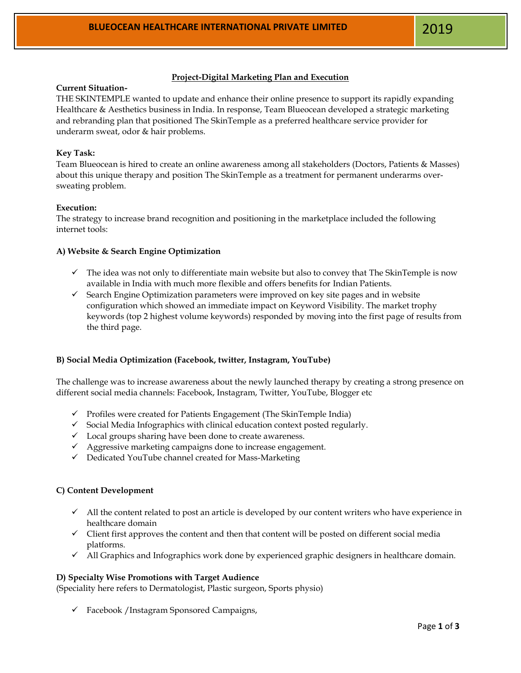## **Project-Digital Marketing Plan and Execution**

### **Current Situation-**

THE SKINTEMPLE wanted to update and enhance their online presence to support its rapidly expanding Healthcare & Aesthetics business in India. In response, Team Blueocean developed a strategic marketing and rebranding plan that positioned The SkinTemple as a preferred healthcare service provider for underarm sweat, odor & hair problems.

## **Key Task:**

Team Blueocean is hired to create an online awareness among all stakeholders (Doctors, Patients & Masses) about this unique therapy and position The SkinTemple as a treatment for permanent underarms oversweating problem.

## **Execution:**

The strategy to increase brand recognition and positioning in the marketplace included the following internet tools:

#### **A) Website & Search Engine Optimization**

- $\checkmark$  The idea was not only to differentiate main website but also to convey that The SkinTemple is now available in India with much more flexible and offers benefits for Indian Patients.
- ✓ Search Engine Optimization parameters were improved on key site pages and in website configuration which showed an immediate impact on Keyword Visibility. The market trophy keywords (top 2 highest volume keywords) responded by moving into the first page of results from the third page.

#### **B) Social Media Optimization (Facebook, twitter, Instagram, YouTube)**

The challenge was to increase awareness about the newly launched therapy by creating a strong presence on different social media channels: Facebook, Instagram, Twitter, YouTube, Blogger etc

- ✓ Profiles were created for Patients Engagement (The SkinTemple India)
- ✓ Social Media Infographics with clinical education context posted regularly.
- ✓ Local groups sharing have been done to create awareness.
- ✓ Aggressive marketing campaigns done to increase engagement.
- ✓ Dedicated YouTube channel created for Mass-Marketing

#### **C) Content Development**

- $\checkmark$  All the content related to post an article is developed by our content writers who have experience in healthcare domain
- ✓ Client first approves the content and then that content will be posted on different social media platforms.
- ✓ All Graphics and Infographics work done by experienced graphic designers in healthcare domain.

#### **D) Specialty Wise Promotions with Target Audience**

(Speciality here refers to Dermatologist, Plastic surgeon, Sports physio)

✓ Facebook /Instagram Sponsored Campaigns,